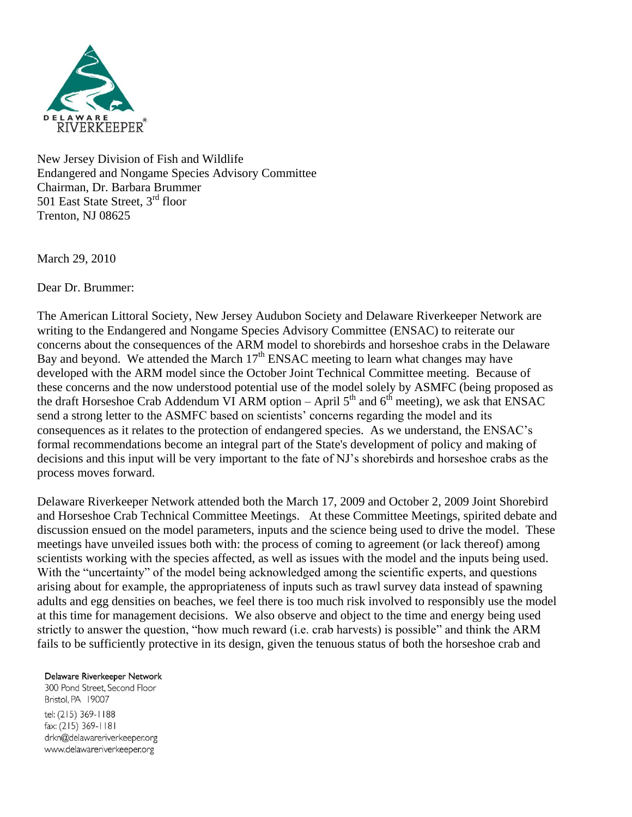

New Jersey Division of Fish and Wildlife Endangered and Nongame Species Advisory Committee Chairman, Dr. Barbara Brummer 501 East State Street, 3<sup>rd</sup> floor Trenton, NJ 08625

March 29, 2010

Dear Dr. Brummer:

The American Littoral Society, New Jersey Audubon Society and Delaware Riverkeeper Network are writing to the Endangered and Nongame Species Advisory Committee (ENSAC) to reiterate our concerns about the consequences of the ARM model to shorebirds and horseshoe crabs in the Delaware Bay and beyond. We attended the March  $17<sup>th</sup>$  ENSAC meeting to learn what changes may have developed with the ARM model since the October Joint Technical Committee meeting. Because of these concerns and the now understood potential use of the model solely by ASMFC (being proposed as the draft Horseshoe Crab Addendum VI ARM option – April  $5<sup>th</sup>$  and  $6<sup>th</sup>$  meeting), we ask that ENSAC send a strong letter to the ASMFC based on scientists' concerns regarding the model and its consequences as it relates to the protection of endangered species. As we understand, the ENSAC's formal recommendations become an integral part of the State's development of policy and making of decisions and this input will be very important to the fate of NJ's shorebirds and horseshoe crabs as the process moves forward.

Delaware Riverkeeper Network attended both the March 17, 2009 and October 2, 2009 Joint Shorebird and Horseshoe Crab Technical Committee Meetings. At these Committee Meetings, spirited debate and discussion ensued on the model parameters, inputs and the science being used to drive the model. These meetings have unveiled issues both with: the process of coming to agreement (or lack thereof) among scientists working with the species affected, as well as issues with the model and the inputs being used. With the "uncertainty" of the model being acknowledged among the scientific experts, and questions arising about for example, the appropriateness of inputs such as trawl survey data instead of spawning adults and egg densities on beaches, we feel there is too much risk involved to responsibly use the model at this time for management decisions. We also observe and object to the time and energy being used strictly to answer the question, "how much reward (i.e. crab harvests) is possible" and think the ARM fails to be sufficiently protective in its design, given the tenuous status of both the horseshoe crab and

## Delaware Riverkeeper Network

300 Pond Street, Second Floor Bristol, PA 19007 tel: (215) 369-1188 fax: (215) 369-1181 drkn@delawareriverkeeper.org www.delawareriverkeeper.org